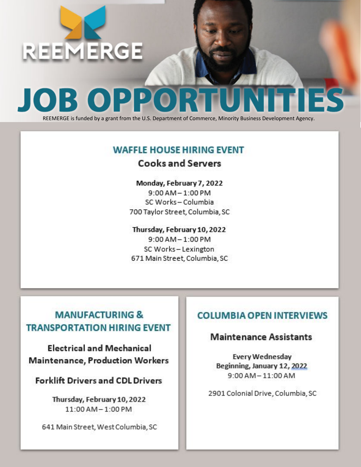

# **JOB OPPORTUNITIES**

REEMERGE is funded by a grant from the U.S. Department of Commerce, Minority Business Development Agency.

### **WAFFLE HOUSE HIRING EVENT Cooks and Servers**

**Monday, February 7, 2022** 9:00 AM – 1:00 PM SC Works – Columbia 700 Taylor Street, Columbia, SC

**Thursday, February 10, 2022** 9:00 AM – 1:00 PM SC Works – Lexington 671 Main Street, Columbia, SC

## **MANUFACTURING & TRANSPORTATION HIRING EVENT**

**Electrical and Mechanical Maintenance, Production Workers**

**Forklift Drivers and CDL Drivers**

**Thursday, February 10, 2022** 11:00 AM – 1:00 PM

641 Main Street, West Columbia, SC

#### **COLUMBIA OPEN INTERVIEWS**

#### **Maintenance Assistants**

**Every Wednesday Beginning, January 12, 2022**  9:00 AM – 11:00 AM

2901 Colonial Drive, Columbia, SC